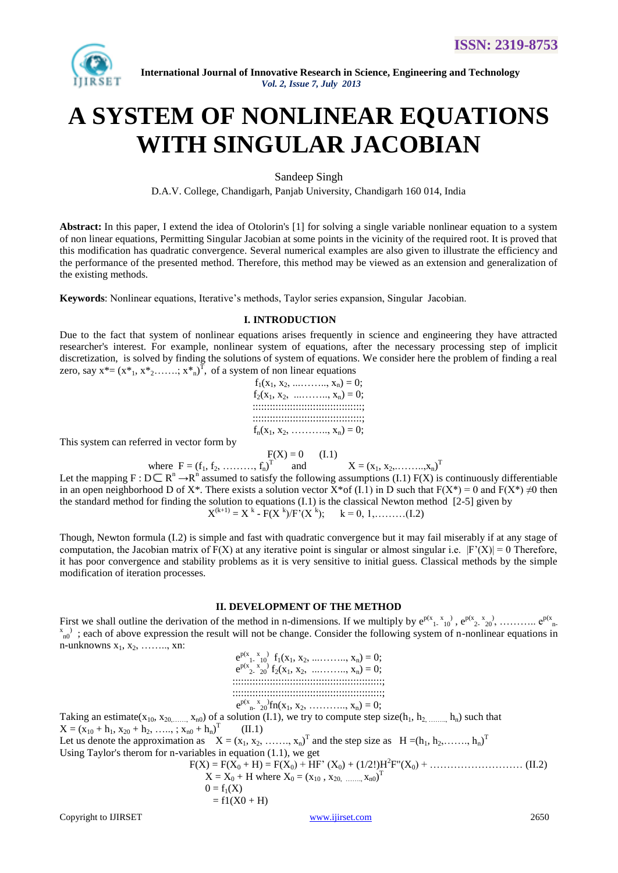

 **International Journal of Innovative Research in Science, Engineering and Technology** *Vol. 2, Issue 7, July 2013*

# **A SYSTEM OF NONLINEAR EQUATIONS WITH SINGULAR JACOBIAN**

Sandeep Singh

D.A.V. College, Chandigarh, Panjab University, Chandigarh 160 014, India

**Abstract:** In this paper, I extend the idea of Otolorin's [1] for solving a single variable nonlinear equation to a system of non linear equations, Permitting Singular Jacobian at some points in the vicinity of the required root. It is proved that this modification has quadratic convergence. Several numerical examples are also given to illustrate the efficiency and the performance of the presented method. Therefore, this method may be viewed as an extension and generalization of the existing methods.

**Keywords**: Nonlinear equations, Iterative's methods, Taylor series expansion, Singular Jacobian.

# **I. INTRODUCTION**

Due to the fact that system of nonlinear equations arises frequently in science and engineering they have attracted researcher's interest. For example, nonlinear system of equations, after the necessary processing step of implicit discretization, is solved by finding the solutions of system of equations. We consider here the problem of finding a real zero, say  $x^* = (x^*_{1}, x^*_{2}, \ldots, x^*_{n})^T$ , of a system of non linear equations

 $f_1(x_1, x_2, \ldots, x_n) = 0;$  $f_2(x_1, x_2, \ldots, x_n) = 0;$ ::::::::::::::::::::::::::::::::::::::; ::::::::::::::::::::::::::::::::::::::;  $f_n(x_1, x_2, \ldots, x_n) = 0;$ 

This system can referred in vector form by

$$
F(X) = 0 \qquad (I.1)
$$

where  $F = (f_1, f_2, \dots, f_n)^T$ and  $X = (x_1, x_2, \dots, x_n)^T$ Let the mapping  $F : D \subseteq R^n \to R^n$  assumed to satisfy the following assumptions (I.1)  $F(X)$  is continuously differentiable in an open neighborhood D of X<sup>\*</sup>. There exists a solution vector X<sup>\*</sup>of (I.1) in D such that  $F(X^*) = 0$  and  $F(X^*) \neq 0$  then the standard method for finding the solution to equations (I.1) is the classical Newton method [2-5] given by X  $(k+1) = X^k - F(X^k)/F'(X^k); \quad k = 0, 1, \dots \dots (1.2)$ 

Though, Newton formula (I.2) is simple and fast with quadratic convergence but it may fail miserably if at any stage of computation, the Jacobian matrix of  $F(X)$  at any iterative point is singular or almost singular i.e.  $|F'(X)| = 0$  Therefore, it has poor convergence and stability problems as it is very sensitive to initial guess. Classical methods by the simple modification of iteration processes.

#### **II. DEVELOPMENT OF THE METHOD**

First we shall outline the derivation of the method in n-dimensions. If we multiply by ep(x 1- x 10 ) , ep(x 2- x 20 ) , ……….. ep(x n $x_{n0}^{x}$ ; each of above expression the result will not be change. Consider the following system of n-nonlinear equations in n-unknowns  $x_1, x_2, \ldots, x_n$ :

 $e^{p(x}$ <sub>1</sub>,  $x_1$ <sup>3</sup>)  $f_1(x_1, x_2, \ldots, x_n) = 0;$  $e^{p(x}x_2-x_0)} f_2(x_1, x_2, \dots, x_n) = 0;$ ::::::::::::::::::::::::::::::::::::::::::::::::::::; ::::::::::::::::::::::::::::::::::::::::::::::::::::;  $e^{p(x_n x_0)}$ fn(x<sub>1</sub>, x<sub>2</sub>, .........., x<sub>n</sub>) = 0; Taking an estimate(x10, x20,……, xn0) of a solution (I.1), we try to compute step size(h1, h2, …….., hn) such that  $X = (x_{10} + h_1, x_{20} + h_2, \ldots, x_{n0} + h_n)^T$  (II.1) Let us denote the approximation as  $X = (x_1, x_2, \ldots, x_n)^T$  and the step size as  $H = (h_1, h_2, \ldots, h_n)^T$ Using Taylor's therom for n-variables in equation (1.1), we get  $F(X) = F(X_0 + H) = F(X_0) + HF' (X_0) + (1/2!)H^2F''(X_0) + \dots$  (II.2)  $X = X_0 + H$  where  $X_0 = (x_{10}, x_{20}, \dots, x_{n0})^T$  $0 = f_1(X)$  $= f1(X0 + H)$ 

Copyright to IJIRSET 2650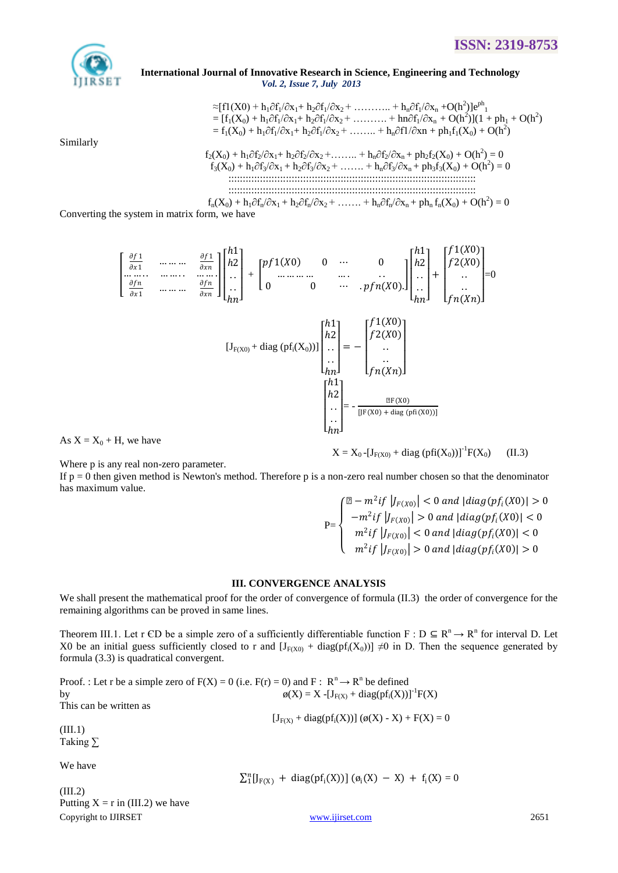

#### International Journal of Innovative Research in Science, Engineering and Technology Vol. 2, Issue 7, July 2013

Similarly

$$
\approx [f1(X0) + h_1 \partial f_1/\partial x_1 + h_2 \partial f_1/\partial x_2 + \dots + h_n \partial f_1/\partial x_n + O(h^2)]e^{ph_1}
$$
  
\n=  $[f_1(X_0) + h_1 \partial f_1/\partial x_1 + h_2 \partial f_1/\partial x_2 + \dots + h_n \partial f_1/\partial x_n + O(h^2)](1 + ph_1 + O(h^2))$   
\n=  $f_1(X_0) + h_1 \partial f_1/\partial x_1 + h_2 \partial f_1/\partial x_2 + \dots + h_n \partial f_1/\partial x_n + ph_1 f_1(X_0) + O(h^2)$   
\n $f_2(X_0) + h_1 \partial f_2/\partial x_1 + h_2 \partial f_2/\partial x_2 + \dots + h_n \partial f_2/\partial x_n + ph_2 f_2(X_0) + O(h^2) = 0$   
\n $f_3(X_0) + h_1 \partial f_3/\partial x_1 + h_2 \partial f_3/\partial x_2 + \dots + h_n \partial f_3/\partial x_n + ph_3 f_3(X_0) + O(h^2) = 0$ 

 $f_n(X_0) + h_1 \partial f_n / \partial x_1 + h_2 \partial f_n / \partial x_2 + \ldots + h_n \partial f_n / \partial x_n + ph_n f_n(X_0) + O(h^2) = 0$ 

Converting the system in matrix form, we have

$$
\begin{bmatrix}\n\frac{\partial f_1}{\partial x_1} & \cdots & \cdots & \frac{\partial f_1}{\partial x_n} \\
\vdots & \vdots & \ddots & \vdots \\
\frac{\partial f_n}{\partial x_1} & \cdots & \cdots & \frac{\partial f_n}{\partial x_n}\n\end{bmatrix}\n\begin{bmatrix}\nh_1 \\
h_2 \\
\vdots \\
h_n\n\end{bmatrix} +\n\begin{bmatrix}\np f_1(X0) & 0 & \cdots & 0 \\
0 & \cdots & \cdots & \cdots \\
0 & 0 & \cdots & \cdots \\
\vdots & \ddots & \vdots \\
h_n\n\end{bmatrix}\n\begin{bmatrix}\nh_1 \\
\vdots \\
h_n\n\end{bmatrix} +\n\begin{bmatrix}\nf_1(X0) \\
\vdots \\
h_n\n\end{bmatrix} +\n\begin{bmatrix}\nf_1(X0) \\
\vdots \\
h_n\n\end{bmatrix} +\n\begin{bmatrix}\nh_2 \\
\vdots \\
h_n\n\end{bmatrix} +\n\begin{bmatrix}\nh_1 \\
\vdots \\
h_n\n\end{bmatrix} +\n\begin{bmatrix}\nh_2 \\
\vdots \\
h_n\n\end{bmatrix} +\n\begin{bmatrix}\nh_1(X0) \\
\vdots \\
h_n(X0)\n\end{bmatrix} +\n\begin{bmatrix}\nh_2 \\
\vdots \\
h_n\n\end{bmatrix} +\n\begin{bmatrix}\nh_1(X0) \\
\vdots \\
h_n(X0)\n\end{bmatrix} +\n\begin{bmatrix}\nh_1 \\
\vdots \\
h_n\n\end{bmatrix} +\n\begin{bmatrix}\nh_1 \\
\vdots \\
h_n\n\end{bmatrix} +\n\begin{bmatrix}\nh_1 \\
\vdots \\
h_n\n\end{bmatrix} +\n\begin{bmatrix}\nh_1 \\
\vdots \\
h_n\n\end{bmatrix} +\n\begin{bmatrix}\nh_1 \\
\vdots \\
h_n\n\end{bmatrix} +\n\begin{bmatrix}\nh_1 \\
\vdots \\
h_n\n\end{bmatrix} +\n\begin{bmatrix}\nh_1 \\
\vdots \\
h_n\n\end{bmatrix} +\n\begin{bmatrix}\nh_1 \\
\vdots \\
h_n\n\end{bmatrix} +\n\begin{bmatrix}\nh_1 \\
\vdots \\
h_n\n\end{bmatrix} +\n\begin{bmatrix}\nh_1 \\
\vdots \\
h_n\n\end{bmatrix} +\n\begin{bmatrix}\nh_1 \\
\vdots \\
h_n\n\end{bmatrix} +\n\begin{bmatrix}\nh_1 \\
\vdots \\
h_n
$$

As  $X = X_0 + H$ , we have

Where p is any real non-zero parameter.

If  $p = 0$  then given method is Newton's method. Therefore p is a non-zero real number chosen so that the denominator has maximum value.

$$
P = \begin{cases} \n\left| \mathbb{Z} - m^2 i f \left| J_{F(X0)} \right| < 0 \text{ and } |diag(p f_i(X0)| > 0 \\
-m^2 i f \left| J_{F(X0)} \right| > 0 \text{ and } |diag(p f_i(X0)| < 0 \\
m^2 i f \left| J_{F(X0)} \right| < 0 \text{ and } |diag(p f_i(X0)| < 0 \\
m^2 i f \left| J_{F(X0)} \right| > 0 \text{ and } |diag(p f_i(X0)| > 0\n\end{cases}
$$

# **III. CONVERGENCE ANALYSIS**

We shall present the mathematical proof for the order of convergence of formula  $(II.3)$  the order of convergence for the remaining algorithms can be proved in same lines.

Theorem III.1. Let r CD be a simple zero of a sufficiently differentiable function  $F : D \subseteq R^n \to R^n$  for interval D. Let X0 be an initial guess sufficiently closed to r and  $[J_{F(X0)} + diag(pf_i(X_0))] \neq 0$  in D. Then the sequence generated by formula (3.3) is quadratical convergent.

Proof.: Let r be a simple zero of  $F(X) = 0$  (i.e.  $F(r) = 0$ ) and  $F: R^n \to R^n$  be defined  $\phi(X) = X - [J_{F(X)} + diag(pf_i(X))]^{-1}F(X)$ by This can be written as  $[J_{F(X)} + diag(pf_i(X))] (\phi(X) - X) + F(X) = 0$  $(III.1)$ Taking  $\Sigma$ We have

 $(III.2)$ Putting  $X = r$  in (III.2) we have Copyright to IJIRSET

 $\sum_{i=1}^{n} [J_{F(X)} + diag(pf_i(X))] (\phi_i(X) - X) + f_i(X) = 0$ 

www.ijirset.com

 $X = X_0 - [J_{F(X0)} + diag (pfi(X_0))]^{-1}F(X_0)$  $(II.3)$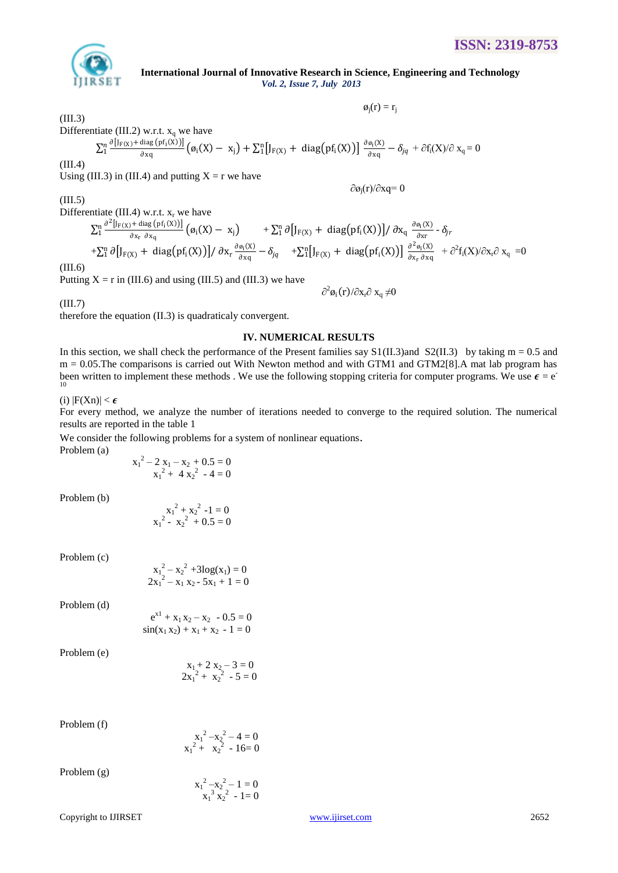

 **International Journal of Innovative Research in Science, Engineering and Technology** *Vol. 2, Issue 7, July 2013*

 $\varphi_{\rm j}({\bf r})={\bf r}_{\rm j}$  $\phi_i(r) = r_i$ 

∂øj(r)/∂xq= 0

(III.3)

Differentiate (III.2) w.r.t.  $x_q$  we have

$$
\Sigma_1^n\frac{\partial \left[ J_{F(X)}+\text{diag}\left(p f_i(X)\right)\right]}{\partial x q}\left(\phi_i(X)-x_j\right)+\Sigma_1^n\big[J_{F(X)}+\text{diag}\left(p f_i(X)\right)\big]\frac{\partial \phi_i(X)}{\partial x q}-\delta_{jq}+\partial f_i(X)/\partial x_q=0
$$

(III.4)

Using (III.3) in (III.4) and putting  $X = r$  we have

(III.5)

Differentiate (III.4) w.r.t.  $x_r$  we have

 $\partial^2 [J_F(\chi) + \text{diag}(pf_i(X))]$ ∂xr ∂xq  $\frac{\ln \frac{\partial^2 [J_F(x) + \text{diag} (pf_i(X))] }{\partial x_i - \partial x_j} (\phi_i(X) - x_j) + \sum_{i=1}^n \partial [J_F(x) + \text{diag} (pf_i(X))] / \partial x_q \frac{\partial \phi_i(X)}{\partial x_q}$ ∂xr  $\int_1^n \partial \big[ J_{F(X)} + \text{diag} \big( \text{pf}_i(X) \big) \big] / \partial x_q \frac{\partial \theta_i(X)}{\partial x} - \delta_{jr}$  $+\sum_{i=1}^{n} \partial \left[J_{F(X)} + \text{diag}(\text{pf}_{i}(X))\right] / \partial x_{r} \frac{\partial \phi_{i}(X)}{\partial x_{0}}$  $\frac{\partial g_1(X)}{\partial x q} - \delta_{jq}$  +  $\sum_{i=1}^{n} [J_{F(X)} + \text{diag}(pf_i(X))] \frac{\partial^2 g_i(X)}{\partial x_r \partial x q}$ ∂xr ∂xq  $\int_{1}^{n} [J_{F(X)} + diag(pf_i(X))] \frac{\partial^2 \phi_i(X)}{\partial x \partial x_0} + \partial^2 f_i(X)/\partial x_i \partial x_q = 0$ 

(III.6)

Putting  $X = r$  in (III.6) and using (III.5) and (III.3) we have

 $\hat{c}$  $e^2\phi_i(r)/\partial x_r\partial x_q$ ≠0

(III.7)

therefore the equation (II.3) is quadraticaly convergent.

# **IV. NUMERICAL RESULTS**

In this section, we shall check the performance of the Present families say  $S1(II.3)$  and  $S2(II.3)$  by taking m = 0.5 and m = 0.05.The comparisons is carried out With Newton method and with GTM1 and GTM2[8].A mat lab program has been written to implement these methods. We use the following stopping criteria for computer programs. We use  $\epsilon = e^{-\epsilon}$ 10

(i)  $|F(Xn)| < \epsilon$ 

For every method, we analyze the number of iterations needed to converge to the required solution. The numerical results are reported in the table 1

We consider the following problems for a system of nonlinear equations.

Problem (a)

$$
x_1^2 - 2x_1 - x_2 + 0.5 = 0
$$
  

$$
x_1^2 + 4x_2^2 - 4 = 0
$$

Problem (b)

$$
x_1^2 + x_2^2 - 1 = 0
$$
  

$$
x_1^2 - x_2^2 + 0.5 = 0
$$

Problem (c)

$$
x_1^2 - x_2^2 + 3\log(x_1) = 0
$$
  

$$
2x_1^2 - x_1 x_2 - 5x_1 + 1 = 0
$$

Problem (d)

e de la contradición de la contradición de la contradición de la contradición de la contradición de la contradición de la contradición de la contradición de la contradición de la contradición de la contradición de la contr  $e^{x1} + x_1 x_2 - x_2 - 0.5 = 0$  $sin(x_1 x_2) + x_1 + x_2 - 1 = 0$ 

Problem (e)

$$
x_1 + 2 x_2 - 3 = 0
$$
  
 
$$
2x_1^2 + x_2^2 - 5 = 0
$$

Problem (f)

$$
x_1^2 - x_2^2 - 4 = 0
$$
  

$$
x_1^2 + x_2^2 - 16 = 0
$$

Problem (g)

$$
x_1^2 - x_2^2 - 1 = 0
$$
  

$$
x_1^3 x_2^2 - 1 = 0
$$

Copyright to IJIRSET [www.ijirset.com](http://www.ijirset.com/) 2652